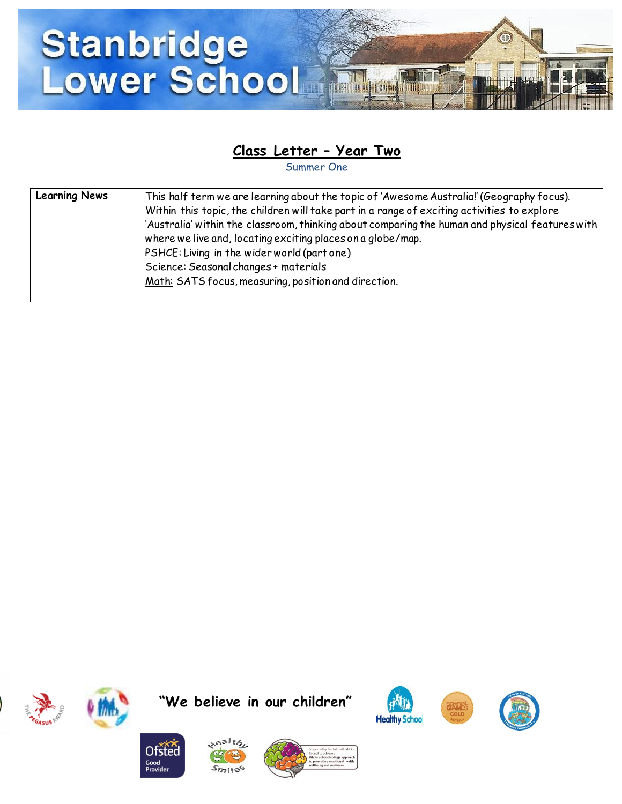

## **Class Letter – Year Two**

Summer One

| <b>Learning News</b> | This half term we are learning about the topic of 'Awesome Australia!' (Geography focus).       |
|----------------------|-------------------------------------------------------------------------------------------------|
|                      | Within this topic, the children will take part in a range of exciting activities to explore     |
|                      | 'Australia' within the classroom, thinking about comparing the human and physical features with |
|                      | where we live and, locating exciting places on a globe/map.                                     |
|                      | PSHCE: Living in the wider world (part one)                                                     |
|                      | Science: Seasonal changes + materials                                                           |
|                      | Math: SATS focus, measuring, position and direction.                                            |
|                      |                                                                                                 |





**"We believe in our children"**







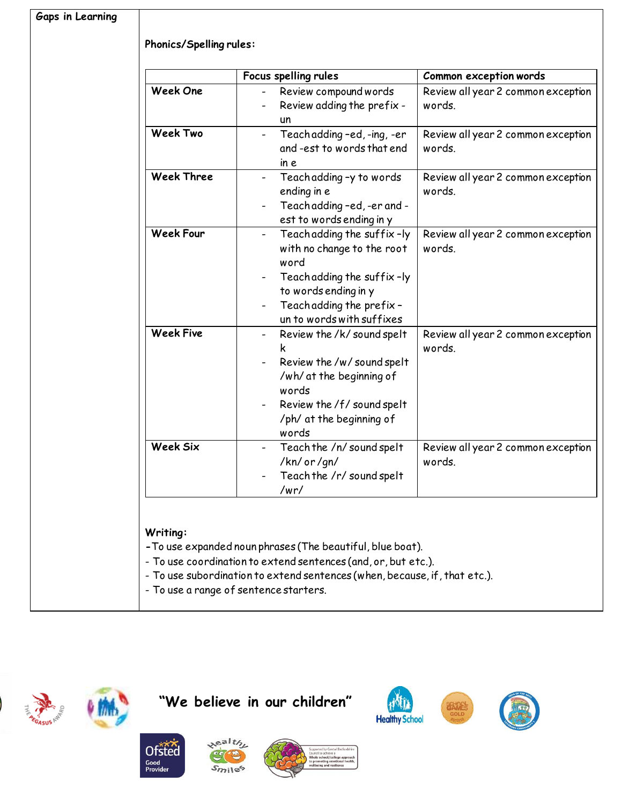|                   | Focus spelling rules                                                                                                                                                                             | Common exception words                       |
|-------------------|--------------------------------------------------------------------------------------------------------------------------------------------------------------------------------------------------|----------------------------------------------|
| <b>Week One</b>   | Review compound words<br>Review adding the prefix -<br>un                                                                                                                                        | Review all year 2 common exception<br>words. |
| <b>Week Two</b>   | Teach adding -ed, -ing, -er<br>and -est to words that end<br>in e                                                                                                                                | Review all year 2 common exception<br>words. |
| <b>Week Three</b> | Teach adding -y to words<br>ending in e<br>Teach adding -ed, -er and -<br>est to words ending in y                                                                                               | Review all year 2 common exception<br>words. |
| <b>Week Four</b>  | Teach adding the suffix-ly<br>with no change to the root<br>word<br>Teach adding the suffix-ly<br>to words ending in y<br>Teach adding the prefix -<br>un to words with suffixes                 | Review all year 2 common exception<br>words. |
| <b>Week Five</b>  | Review the /k/ sound spelt<br>$\qquad \qquad \blacksquare$<br>Review the /w/ sound spelt<br>/wh/ at the beginning of<br>words<br>Review the /f/ sound spelt<br>/ph/ at the beginning of<br>words | Review all year 2 common exception<br>words. |
| Week Six          | Teach the /n/ sound spelt<br>/kn/ or /gn/<br>Teach the /r/ sound spelt<br>/wr/                                                                                                                   | Review all year 2 common exception<br>words. |



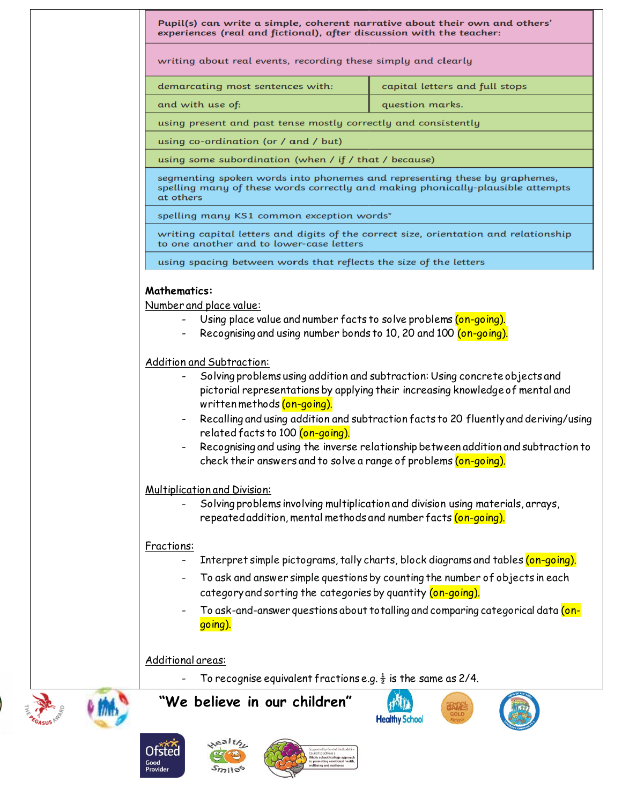| Pupil(s) can write a simple, coherent narrative about their own and others'<br>experiences (real and fictional), after discussion with the teacher:                                                                                                                                                                                 |                                                                                                                                                                                                                                                                                                                                             |  |
|-------------------------------------------------------------------------------------------------------------------------------------------------------------------------------------------------------------------------------------------------------------------------------------------------------------------------------------|---------------------------------------------------------------------------------------------------------------------------------------------------------------------------------------------------------------------------------------------------------------------------------------------------------------------------------------------|--|
| writing about real events, recording these simply and clearly                                                                                                                                                                                                                                                                       |                                                                                                                                                                                                                                                                                                                                             |  |
| demarcating most sentences with:                                                                                                                                                                                                                                                                                                    | capital letters and full stops                                                                                                                                                                                                                                                                                                              |  |
| and with use of:                                                                                                                                                                                                                                                                                                                    | question marks.                                                                                                                                                                                                                                                                                                                             |  |
| using present and past tense mostly correctly and consistently                                                                                                                                                                                                                                                                      |                                                                                                                                                                                                                                                                                                                                             |  |
| using co-ordination (or / and / but)                                                                                                                                                                                                                                                                                                |                                                                                                                                                                                                                                                                                                                                             |  |
| using some subordination (when / if / that / because)                                                                                                                                                                                                                                                                               |                                                                                                                                                                                                                                                                                                                                             |  |
| segmenting spoken words into phonemes and representing these by graphemes,<br>spelling many of these words correctly and making phonically-plausible attempts<br>at others                                                                                                                                                          |                                                                                                                                                                                                                                                                                                                                             |  |
| spelling many KS1 common exception words*                                                                                                                                                                                                                                                                                           |                                                                                                                                                                                                                                                                                                                                             |  |
| writing capital letters and digits of the correct size, orientation and relationship<br>to one another and to lower-case letters                                                                                                                                                                                                    |                                                                                                                                                                                                                                                                                                                                             |  |
| using spacing between words that reflects the size of the letters                                                                                                                                                                                                                                                                   |                                                                                                                                                                                                                                                                                                                                             |  |
| Number and place value:<br>Using place value and number facts to solve problems (on-going).<br>Recognising and using number bonds to 10, 20 and 100 (on-going).<br>Addition and Subtraction:<br>written methods (on-going).<br>related facts to 100 (on-going).<br>check their answers and to solve a range of problems (on-going). | Solving problems using addition and subtraction: Using concrete objects and<br>pictorial representations by applying their increasing knowledge of mental and<br>Recalling and using addition and subtraction facts to 20 fluently and deriving/using<br>Recognising and using the inverse relationship between addition and subtraction to |  |
| <b>Multiplication and Division:</b><br>repeated addition, mental methods and number facts (on-going).                                                                                                                                                                                                                               | Solving problems involving multiplication and division using materials, arrays,                                                                                                                                                                                                                                                             |  |
| Fractions:                                                                                                                                                                                                                                                                                                                          |                                                                                                                                                                                                                                                                                                                                             |  |
|                                                                                                                                                                                                                                                                                                                                     | Interpret simple pictograms, tally charts, block diagrams and tables (on-going).                                                                                                                                                                                                                                                            |  |
| category and sorting the categories by quantity (on-going).                                                                                                                                                                                                                                                                         | To ask and answer simple questions by counting the number of objects in each                                                                                                                                                                                                                                                                |  |
| go ing).                                                                                                                                                                                                                                                                                                                            | To ask-and-answer questions about totalling and comparing categorical data (on-                                                                                                                                                                                                                                                             |  |
| Additional areas:                                                                                                                                                                                                                                                                                                                   |                                                                                                                                                                                                                                                                                                                                             |  |
| To recognise equivalent fractions e.g. $\frac{1}{2}$ is the same as 2/4.                                                                                                                                                                                                                                                            |                                                                                                                                                                                                                                                                                                                                             |  |
| "We believe in our children"                                                                                                                                                                                                                                                                                                        | <b>Healthy School</b>                                                                                                                                                                                                                                                                                                                       |  |